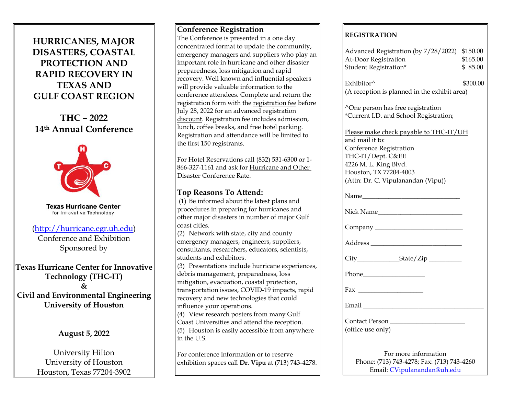# **HURRICANES, MAJOR DISASTERS, COASTAL PROTECTION AND RAPID RECOVERY IN TEXAS AND GULF COAST REGION**

**THC – 2022 14th Annual Conference**



**Texas Hurricane Center** for Innovative Technology

# [\(http://hurricane.egr.uh.edu\)](http://hurricane.egr.uh.edu/)

Conference and Exhibition Sponsored by

**Texas Hurricane Center for Innovative Technology (THC-IT) & Civil and Environmental Engineering University of Houston**

# **August 5, 2022**

University Hilton University of Houston Houston, Texas 77204-3902

## **Conference Registration**

The Conference is presented in a one day concentrated format to update the community, emergency managers and suppliers who play an important role in hurricane and other disaster preparedness, loss mitigation and rapid recovery. Well known and influential speakers will provide valuable information to the conference attendees. Complete and return the registration form with the registration fee before July 28, 2022 for an advanced registration discount. Registration fee includes admission, lunch, coffee breaks, and free hotel parking. Registration and attendance will be limited to the first 150 registrants.

For Hotel Reservations call (832) 531-6300 or 1- 866-327-1161 and ask for Hurricane and Other Disaster Conference Rate.

# **Top Reasons To Attend:**

(1) Be informed about the latest plans and procedures in preparing for hurricanes and other major disasters in number of major Gulf coast cities.

(2) Network with state, city and county emergency managers, engineers, suppliers, consultants, researchers, educators, scientists, students and exhibitors.

(3) Presentations include hurricane experiences, debris management, preparedness, loss mitigation, evacuation, coastal protection, transportation issues, COVID-19 impacts, rapid recovery and new technologies that could influence your operations.

 $\parallel$  (4) View research posters from many Gulf Coast Universities and attend the reception.  $\parallel$ (5) Houston is easily accessible from anywhere  $\parallel$ in the U.S.

For conference information or to reserve exhibition spaces call **Dr. Vipu** at (713) 743-4278.

# **REGISTRATION**

| Advanced Registration (by 7/28/2022) \$150.00<br>At-Door Registration<br>Student Registration*                                                                                                     | \$165.00<br>\$85.00 |
|----------------------------------------------------------------------------------------------------------------------------------------------------------------------------------------------------|---------------------|
| Exhibitor $\wedge$<br>(A reception is planned in the exhibit area)                                                                                                                                 | \$300.00            |
| ^One person has free registration<br>*Current I.D. and School Registration;                                                                                                                        |                     |
| Please make check payable to THC-IT/UH<br>and mail it to:<br>Conference Registration<br>THC-IT/Dept. C&EE<br>4226 M. L. King Blvd.<br>Houston, TX 77204-4003<br>(Attn: Dr. C. Vipulanandan (Vipu)) |                     |
|                                                                                                                                                                                                    |                     |
| Nick Name                                                                                                                                                                                          |                     |
|                                                                                                                                                                                                    |                     |
|                                                                                                                                                                                                    |                     |
|                                                                                                                                                                                                    |                     |
|                                                                                                                                                                                                    |                     |
|                                                                                                                                                                                                    |                     |
|                                                                                                                                                                                                    |                     |
| Contact Person<br>(office use only)                                                                                                                                                                |                     |
| For more information<br>Phone: (713) 743-4278; Fax: (713) 743-4260<br>Email: CVipulanandan@uh.edu                                                                                                  |                     |